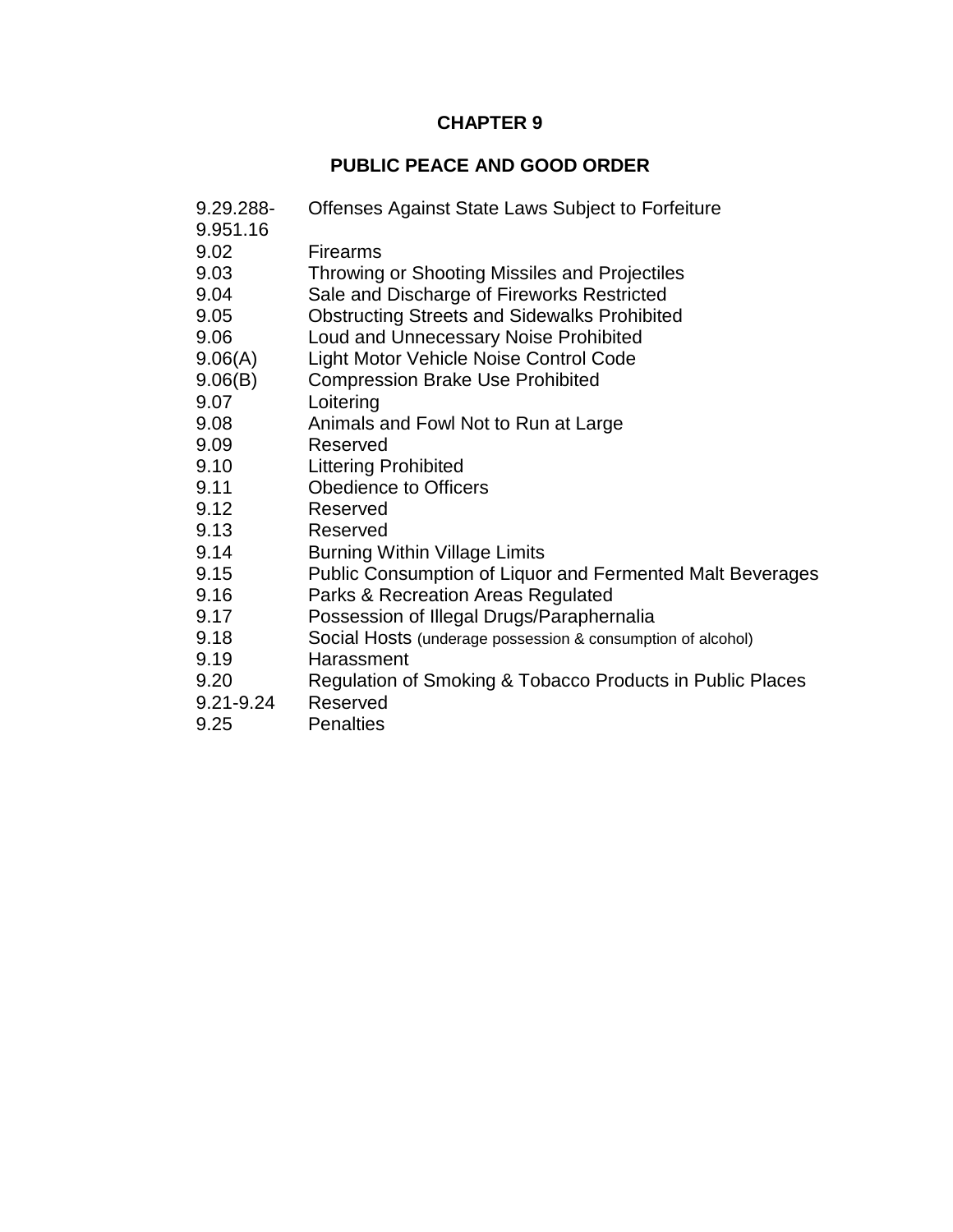# **CHAPTER 9**

# **PUBLIC PEACE AND GOOD ORDER**

- 9.29.288- Offenses Against State Laws Subject to Forfeiture 9.951.16 9.02 Firearms
- 9.03 Throwing or Shooting Missiles and Projectiles
- 9.04 Sale and Discharge of Fireworks Restricted
- 9.05 Obstructing Streets and Sidewalks Prohibited
- 9.06 Loud and Unnecessary Noise Prohibited
- 9.06(A) Light Motor Vehicle Noise Control Code
- 9.06(B) Compression Brake Use Prohibited
- 9.07 Loitering
- 9.08 Animals and Fowl Not to Run at Large
- 9.09 Reserved
- 9.10 Littering Prohibited
- 9.11 Obedience to Officers
- 9.12 Reserved
- 9.13 Reserved
- 9.14 Burning Within Village Limits
- 9.15 Public Consumption of Liquor and Fermented Malt Beverages
- 9.16 Parks & Recreation Areas Regulated
- 9.17 Possession of Illegal Drugs/Paraphernalia
- 9.18 Social Hosts (underage possession & consumption of alcohol)
- 9.19 Harassment
- 9.20 Regulation of Smoking & Tobacco Products in Public Places
- 9.21-9.24 Reserved
- 9.25 Penalties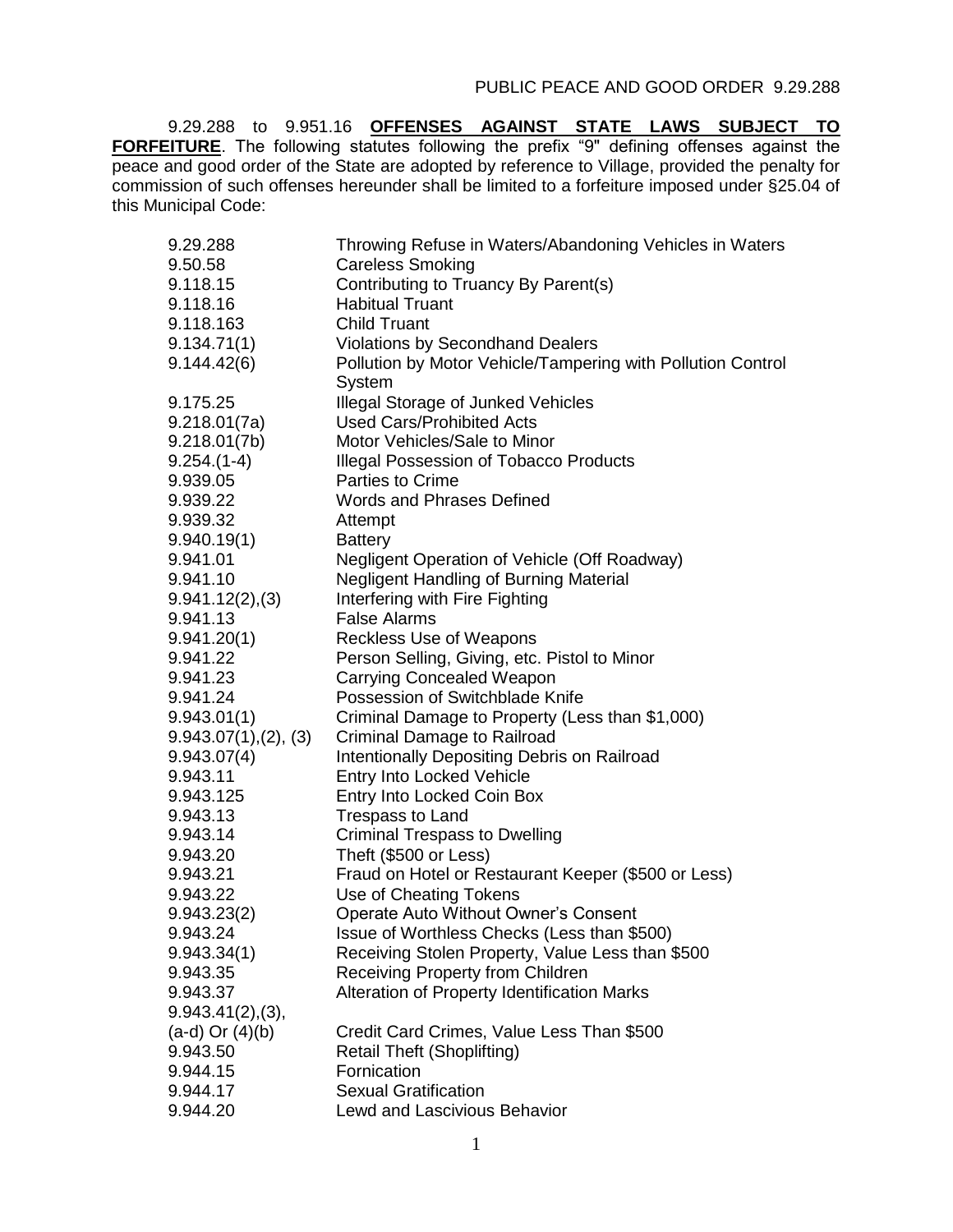9.29.288 to 9.951.16 **OFFENSES AGAINST STATE LAWS SUBJECT TO FORFEITURE**. The following statutes following the prefix "9" defining offenses against the peace and good order of the State are adopted by reference to Village, provided the penalty for commission of such offenses hereunder shall be limited to a forfeiture imposed under §25.04 of this Municipal Code:

| 9.29.288              | Throwing Refuse in Waters/Abandoning Vehicles in Waters     |
|-----------------------|-------------------------------------------------------------|
| 9.50.58               | <b>Careless Smoking</b>                                     |
| 9.118.15              | Contributing to Truancy By Parent(s)                        |
| 9.118.16              | <b>Habitual Truant</b>                                      |
| 9.118.163             | <b>Child Truant</b>                                         |
| 9.134.71(1)           | <b>Violations by Secondhand Dealers</b>                     |
| 9.144.42(6)           | Pollution by Motor Vehicle/Tampering with Pollution Control |
|                       | System                                                      |
| 9.175.25              | <b>Illegal Storage of Junked Vehicles</b>                   |
| 9.218.01(7a)          | <b>Used Cars/Prohibited Acts</b>                            |
| 9.218.01(7b)          | Motor Vehicles/Sale to Minor                                |
| $9.254.(1-4)$         | <b>Illegal Possession of Tobacco Products</b>               |
| 9.939.05              | <b>Parties to Crime</b>                                     |
| 9.939.22              | <b>Words and Phrases Defined</b>                            |
| 9.939.32              | Attempt                                                     |
| 9.940.19(1)           | <b>Battery</b>                                              |
| 9.941.01              | Negligent Operation of Vehicle (Off Roadway)                |
| 9.941.10              | Negligent Handling of Burning Material                      |
| 9.941.12(2), (3)      | Interfering with Fire Fighting                              |
| 9.941.13              | <b>False Alarms</b>                                         |
| 9.941.20(1)           | Reckless Use of Weapons                                     |
| 9.941.22              | Person Selling, Giving, etc. Pistol to Minor                |
| 9.941.23              | <b>Carrying Concealed Weapon</b>                            |
| 9.941.24              | Possession of Switchblade Knife                             |
| 9.943.01(1)           | Criminal Damage to Property (Less than \$1,000)             |
| 9.943.07(1), (2), (3) | <b>Criminal Damage to Railroad</b>                          |
| 9.943.07(4)           | Intentionally Depositing Debris on Railroad                 |
| 9.943.11              | Entry Into Locked Vehicle                                   |
| 9.943.125             | Entry Into Locked Coin Box                                  |
| 9.943.13              | <b>Trespass to Land</b>                                     |
| 9.943.14              | <b>Criminal Trespass to Dwelling</b>                        |
| 9.943.20              | Theft (\$500 or Less)                                       |
| 9.943.21              | Fraud on Hotel or Restaurant Keeper (\$500 or Less)         |
| 9.943.22              | Use of Cheating Tokens                                      |
| 9.943.23(2)           | <b>Operate Auto Without Owner's Consent</b>                 |
| 9.943.24              | Issue of Worthless Checks (Less than \$500)                 |
| 9.943.34(1)           | Receiving Stolen Property, Value Less than \$500            |
| 9.943.35              | Receiving Property from Children                            |
| 9.943.37              | Alteration of Property Identification Marks                 |
| 9.943.41(2), (3),     |                                                             |
| $(a-d)$ Or $(4)(b)$   | Credit Card Crimes, Value Less Than \$500                   |
| 9.943.50              | <b>Retail Theft (Shoplifting)</b>                           |
| 9.944.15              | Fornication                                                 |
| 9.944.17              | <b>Sexual Gratification</b>                                 |
| 9.944.20              | <b>Lewd and Lascivious Behavior</b>                         |
|                       |                                                             |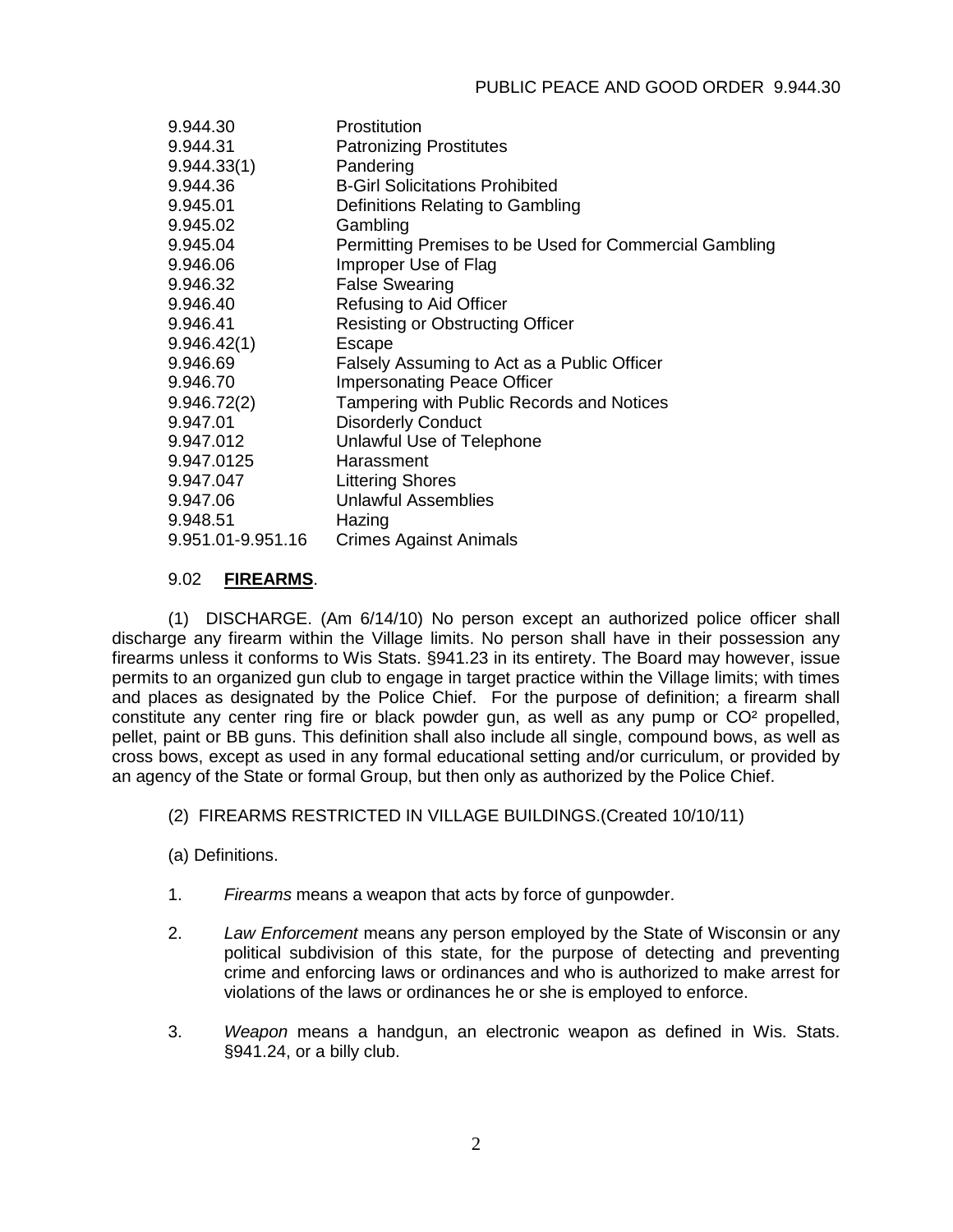| 9.944.30          | Prostitution                                           |
|-------------------|--------------------------------------------------------|
| 9.944.31          | <b>Patronizing Prostitutes</b>                         |
| 9.944.33(1)       | Pandering                                              |
| 9.944.36          | <b>B-Girl Solicitations Prohibited</b>                 |
| 9.945.01          | Definitions Relating to Gambling                       |
| 9.945.02          | Gambling                                               |
| 9.945.04          | Permitting Premises to be Used for Commercial Gambling |
| 9.946.06          | Improper Use of Flag                                   |
| 9.946.32          | <b>False Swearing</b>                                  |
| 9.946.40          | Refusing to Aid Officer                                |
| 9.946.41          | <b>Resisting or Obstructing Officer</b>                |
| 9.946.42(1)       | Escape                                                 |
| 9.946.69          | Falsely Assuming to Act as a Public Officer            |
| 9.946.70          | <b>Impersonating Peace Officer</b>                     |
| 9.946.72(2)       | Tampering with Public Records and Notices              |
| 9.947.01          | <b>Disorderly Conduct</b>                              |
| 9.947.012         | Unlawful Use of Telephone                              |
| 9.947.0125        | Harassment                                             |
| 9.947.047         | <b>Littering Shores</b>                                |
| 9.947.06          | <b>Unlawful Assemblies</b>                             |
| 9.948.51          | Hazing                                                 |
| 9.951.01-9.951.16 | <b>Crimes Against Animals</b>                          |

# 9.02 **FIREARMS**.

(1) DISCHARGE. (Am 6/14/10) No person except an authorized police officer shall discharge any firearm within the Village limits. No person shall have in their possession any firearms unless it conforms to Wis Stats. §941.23 in its entirety. The Board may however, issue permits to an organized gun club to engage in target practice within the Village limits; with times and places as designated by the Police Chief. For the purpose of definition; a firearm shall constitute any center ring fire or black powder gun, as well as any pump or CO² propelled, pellet, paint or BB guns. This definition shall also include all single, compound bows, as well as cross bows, except as used in any formal educational setting and/or curriculum, or provided by an agency of the State or formal Group, but then only as authorized by the Police Chief.

(2) FIREARMS RESTRICTED IN VILLAGE BUILDINGS.(Created 10/10/11)

(a) Definitions.

- 1. *Firearms* means a weapon that acts by force of gunpowder.
- 2. *Law Enforcement* means any person employed by the State of Wisconsin or any political subdivision of this state, for the purpose of detecting and preventing crime and enforcing laws or ordinances and who is authorized to make arrest for violations of the laws or ordinances he or she is employed to enforce.
- 3. *Weapon* means a handgun, an electronic weapon as defined in Wis. Stats. §941.24, or a billy club.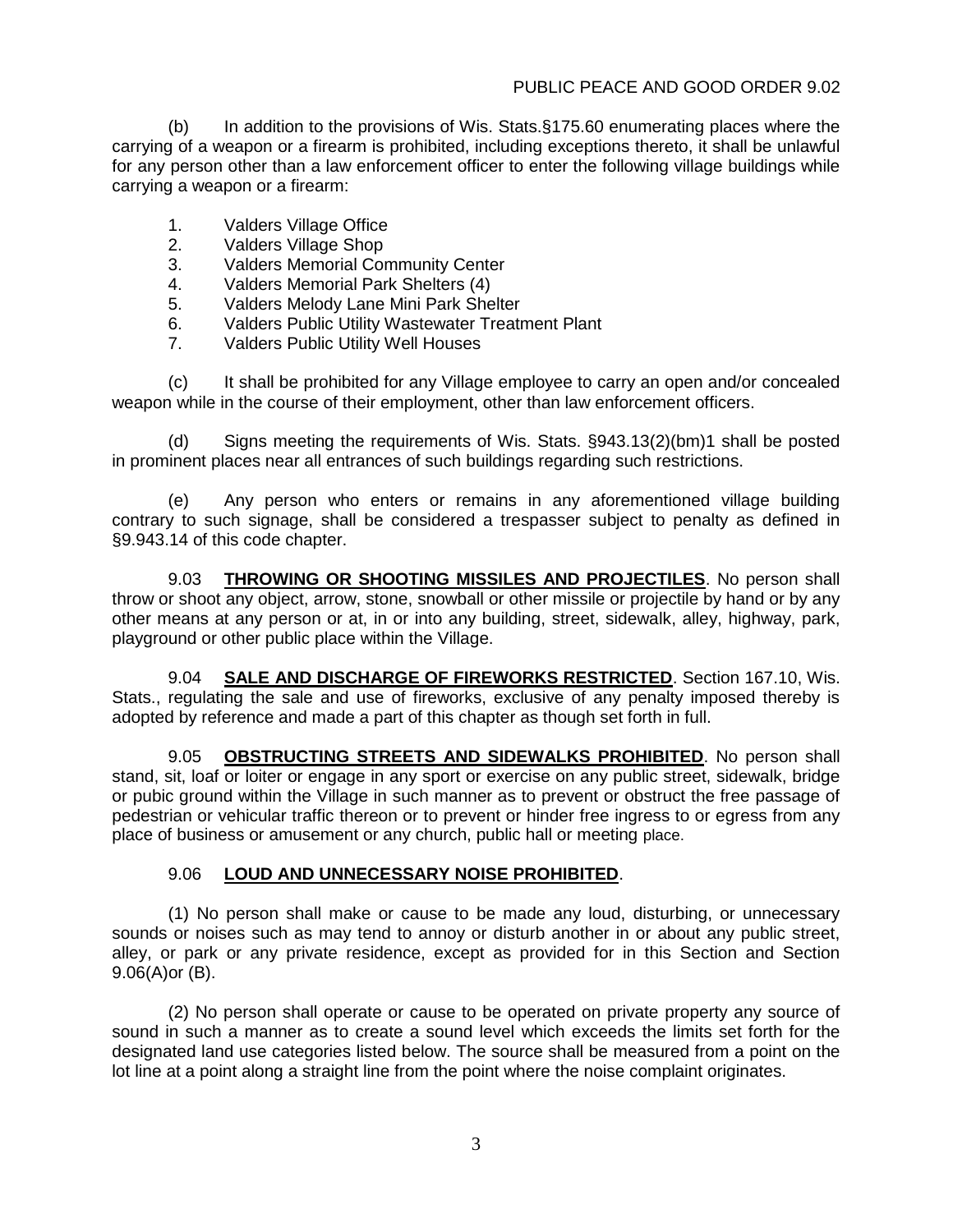### PUBLIC PEACE AND GOOD ORDER 9.02

(b) In addition to the provisions of Wis. Stats.§175.60 enumerating places where the carrying of a weapon or a firearm is prohibited, including exceptions thereto, it shall be unlawful for any person other than a law enforcement officer to enter the following village buildings while carrying a weapon or a firearm:

- 1. Valders Village Office
- 2. Valders Village Shop
- 3. Valders Memorial Community Center
- 4. Valders Memorial Park Shelters (4)
- 5. Valders Melody Lane Mini Park Shelter
- 6. Valders Public Utility Wastewater Treatment Plant
- 7. Valders Public Utility Well Houses

(c) It shall be prohibited for any Village employee to carry an open and/or concealed weapon while in the course of their employment, other than law enforcement officers.

(d) Signs meeting the requirements of Wis. Stats. §943.13(2)(bm)1 shall be posted in prominent places near all entrances of such buildings regarding such restrictions.

(e) Any person who enters or remains in any aforementioned village building contrary to such signage, shall be considered a trespasser subject to penalty as defined in §9.943.14 of this code chapter.

9.03 **THROWING OR SHOOTING MISSILES AND PROJECTILES**. No person shall throw or shoot any object, arrow, stone, snowball or other missile or projectile by hand or by any other means at any person or at, in or into any building, street, sidewalk, alley, highway, park, playground or other public place within the Village.

9.04 **SALE AND DISCHARGE OF FIREWORKS RESTRICTED**. Section 167.10, Wis. Stats., regulating the sale and use of fireworks, exclusive of any penalty imposed thereby is adopted by reference and made a part of this chapter as though set forth in full.

9.05 **OBSTRUCTING STREETS AND SIDEWALKS PROHIBITED**. No person shall stand, sit, loaf or loiter or engage in any sport or exercise on any public street, sidewalk, bridge or pubic ground within the Village in such manner as to prevent or obstruct the free passage of pedestrian or vehicular traffic thereon or to prevent or hinder free ingress to or egress from any place of business or amusement or any church, public hall or meeting place.

#### 9.06 **LOUD AND UNNECESSARY NOISE PROHIBITED**.

(1) No person shall make or cause to be made any loud, disturbing, or unnecessary sounds or noises such as may tend to annoy or disturb another in or about any public street, alley, or park or any private residence, except as provided for in this Section and Section 9.06(A)or (B).

(2) No person shall operate or cause to be operated on private property any source of sound in such a manner as to create a sound level which exceeds the limits set forth for the designated land use categories listed below. The source shall be measured from a point on the lot line at a point along a straight line from the point where the noise complaint originates.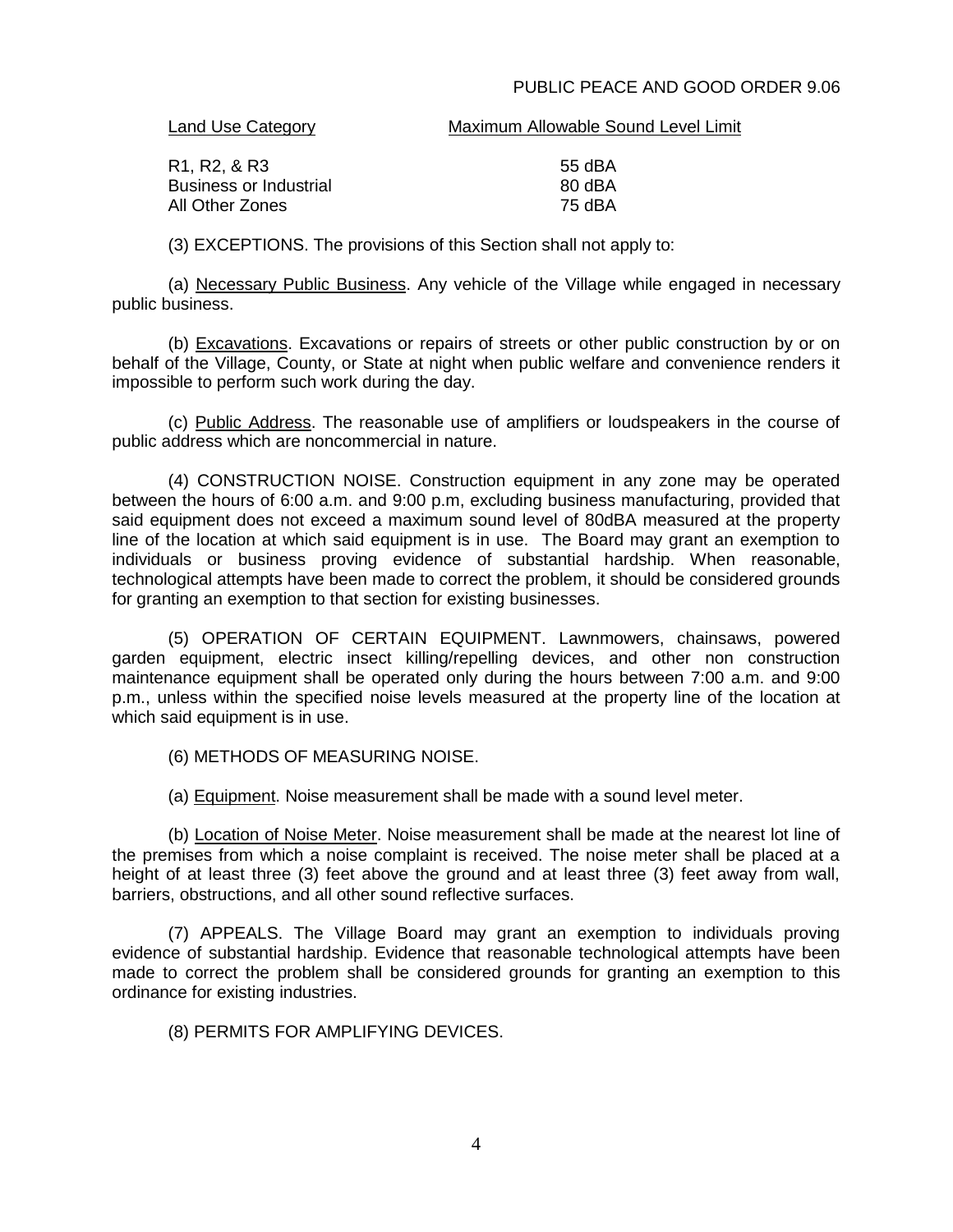#### PUBLIC PEACE AND GOOD ORDER 9.06

#### Land Use Category **Maximum Allowable Sound Level Limit**

| 55 dBA |
|--------|
| 80 dBA |
| 75 dBA |
|        |

(3) EXCEPTIONS. The provisions of this Section shall not apply to:

(a) Necessary Public Business. Any vehicle of the Village while engaged in necessary public business.

(b) Excavations. Excavations or repairs of streets or other public construction by or on behalf of the Village, County, or State at night when public welfare and convenience renders it impossible to perform such work during the day.

(c) Public Address. The reasonable use of amplifiers or loudspeakers in the course of public address which are noncommercial in nature.

(4) CONSTRUCTION NOISE. Construction equipment in any zone may be operated between the hours of 6:00 a.m. and 9:00 p.m, excluding business manufacturing, provided that said equipment does not exceed a maximum sound level of 80dBA measured at the property line of the location at which said equipment is in use. The Board may grant an exemption to individuals or business proving evidence of substantial hardship. When reasonable, technological attempts have been made to correct the problem, it should be considered grounds for granting an exemption to that section for existing businesses.

(5) OPERATION OF CERTAIN EQUIPMENT. Lawnmowers, chainsaws, powered garden equipment, electric insect killing/repelling devices, and other non construction maintenance equipment shall be operated only during the hours between 7:00 a.m. and 9:00 p.m., unless within the specified noise levels measured at the property line of the location at which said equipment is in use.

(6) METHODS OF MEASURING NOISE.

(a) Equipment. Noise measurement shall be made with a sound level meter.

(b) Location of Noise Meter. Noise measurement shall be made at the nearest lot line of the premises from which a noise complaint is received. The noise meter shall be placed at a height of at least three (3) feet above the ground and at least three (3) feet away from wall, barriers, obstructions, and all other sound reflective surfaces.

(7) APPEALS. The Village Board may grant an exemption to individuals proving evidence of substantial hardship. Evidence that reasonable technological attempts have been made to correct the problem shall be considered grounds for granting an exemption to this ordinance for existing industries.

(8) PERMITS FOR AMPLIFYING DEVICES.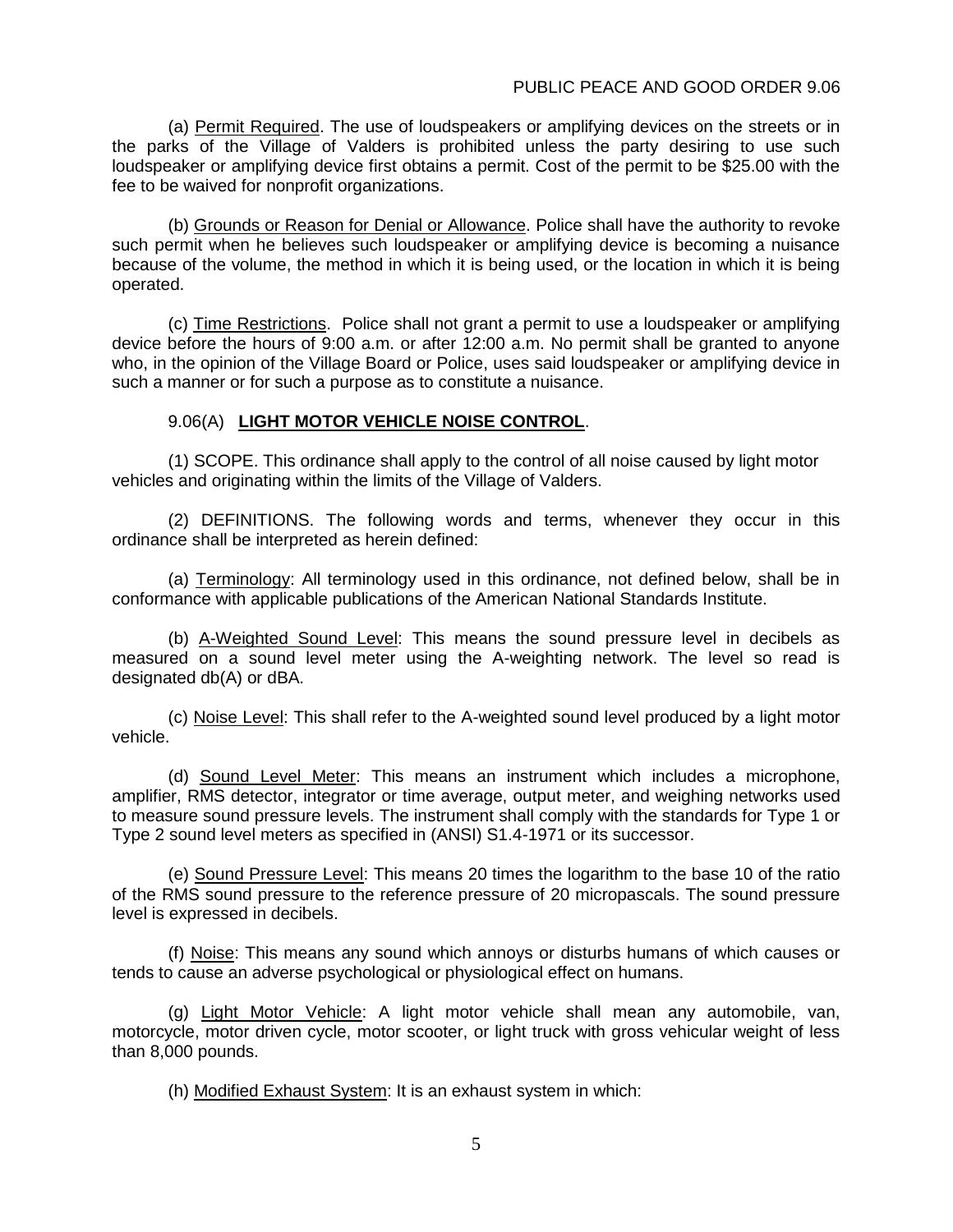(a) Permit Required. The use of loudspeakers or amplifying devices on the streets or in the parks of the Village of Valders is prohibited unless the party desiring to use such loudspeaker or amplifying device first obtains a permit. Cost of the permit to be \$25.00 with the fee to be waived for nonprofit organizations.

(b) Grounds or Reason for Denial or Allowance. Police shall have the authority to revoke such permit when he believes such loudspeaker or amplifying device is becoming a nuisance because of the volume, the method in which it is being used, or the location in which it is being operated.

(c) Time Restrictions. Police shall not grant a permit to use a loudspeaker or amplifying device before the hours of 9:00 a.m. or after 12:00 a.m. No permit shall be granted to anyone who, in the opinion of the Village Board or Police, uses said loudspeaker or amplifying device in such a manner or for such a purpose as to constitute a nuisance.

#### 9.06(A) **LIGHT MOTOR VEHICLE NOISE CONTROL**.

(1) SCOPE. This ordinance shall apply to the control of all noise caused by light motor vehicles and originating within the limits of the Village of Valders.

(2) DEFINITIONS. The following words and terms, whenever they occur in this ordinance shall be interpreted as herein defined:

(a) Terminology: All terminology used in this ordinance, not defined below, shall be in conformance with applicable publications of the American National Standards Institute.

(b) A-Weighted Sound Level: This means the sound pressure level in decibels as measured on a sound level meter using the A-weighting network. The level so read is designated db(A) or dBA.

(c) Noise Level: This shall refer to the A-weighted sound level produced by a light motor vehicle.

(d) Sound Level Meter: This means an instrument which includes a microphone, amplifier, RMS detector, integrator or time average, output meter, and weighing networks used to measure sound pressure levels. The instrument shall comply with the standards for Type 1 or Type 2 sound level meters as specified in (ANSI) S1.4-1971 or its successor.

(e) Sound Pressure Level: This means 20 times the logarithm to the base 10 of the ratio of the RMS sound pressure to the reference pressure of 20 micropascals. The sound pressure level is expressed in decibels.

(f) Noise: This means any sound which annoys or disturbs humans of which causes or tends to cause an adverse psychological or physiological effect on humans.

(g) Light Motor Vehicle: A light motor vehicle shall mean any automobile, van, motorcycle, motor driven cycle, motor scooter, or light truck with gross vehicular weight of less than 8,000 pounds.

(h) Modified Exhaust System: It is an exhaust system in which: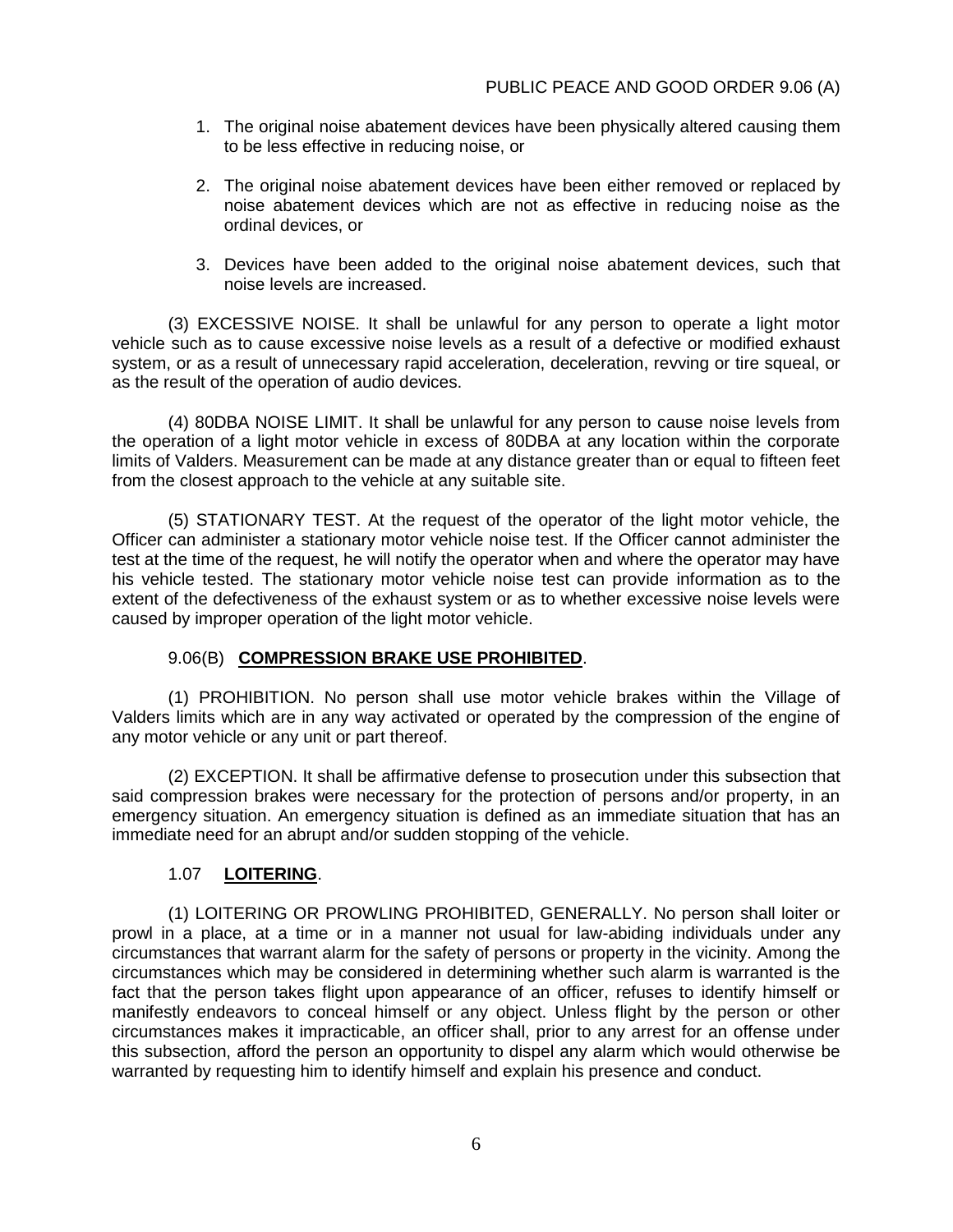- 1. The original noise abatement devices have been physically altered causing them to be less effective in reducing noise, or
- 2. The original noise abatement devices have been either removed or replaced by noise abatement devices which are not as effective in reducing noise as the ordinal devices, or
- 3. Devices have been added to the original noise abatement devices, such that noise levels are increased.

(3) EXCESSIVE NOISE. It shall be unlawful for any person to operate a light motor vehicle such as to cause excessive noise levels as a result of a defective or modified exhaust system, or as a result of unnecessary rapid acceleration, deceleration, revving or tire squeal, or as the result of the operation of audio devices.

(4) 80DBA NOISE LIMIT. It shall be unlawful for any person to cause noise levels from the operation of a light motor vehicle in excess of 80DBA at any location within the corporate limits of Valders. Measurement can be made at any distance greater than or equal to fifteen feet from the closest approach to the vehicle at any suitable site.

(5) STATIONARY TEST. At the request of the operator of the light motor vehicle, the Officer can administer a stationary motor vehicle noise test. If the Officer cannot administer the test at the time of the request, he will notify the operator when and where the operator may have his vehicle tested. The stationary motor vehicle noise test can provide information as to the extent of the defectiveness of the exhaust system or as to whether excessive noise levels were caused by improper operation of the light motor vehicle.

# 9.06(B) **COMPRESSION BRAKE USE PROHIBITED**.

(1) PROHIBITION. No person shall use motor vehicle brakes within the Village of Valders limits which are in any way activated or operated by the compression of the engine of any motor vehicle or any unit or part thereof.

(2) EXCEPTION. It shall be affirmative defense to prosecution under this subsection that said compression brakes were necessary for the protection of persons and/or property, in an emergency situation. An emergency situation is defined as an immediate situation that has an immediate need for an abrupt and/or sudden stopping of the vehicle.

# 1.07 **LOITERING**.

(1) LOITERING OR PROWLING PROHIBITED, GENERALLY. No person shall loiter or prowl in a place, at a time or in a manner not usual for law-abiding individuals under any circumstances that warrant alarm for the safety of persons or property in the vicinity. Among the circumstances which may be considered in determining whether such alarm is warranted is the fact that the person takes flight upon appearance of an officer, refuses to identify himself or manifestly endeavors to conceal himself or any object. Unless flight by the person or other circumstances makes it impracticable, an officer shall, prior to any arrest for an offense under this subsection, afford the person an opportunity to dispel any alarm which would otherwise be warranted by requesting him to identify himself and explain his presence and conduct.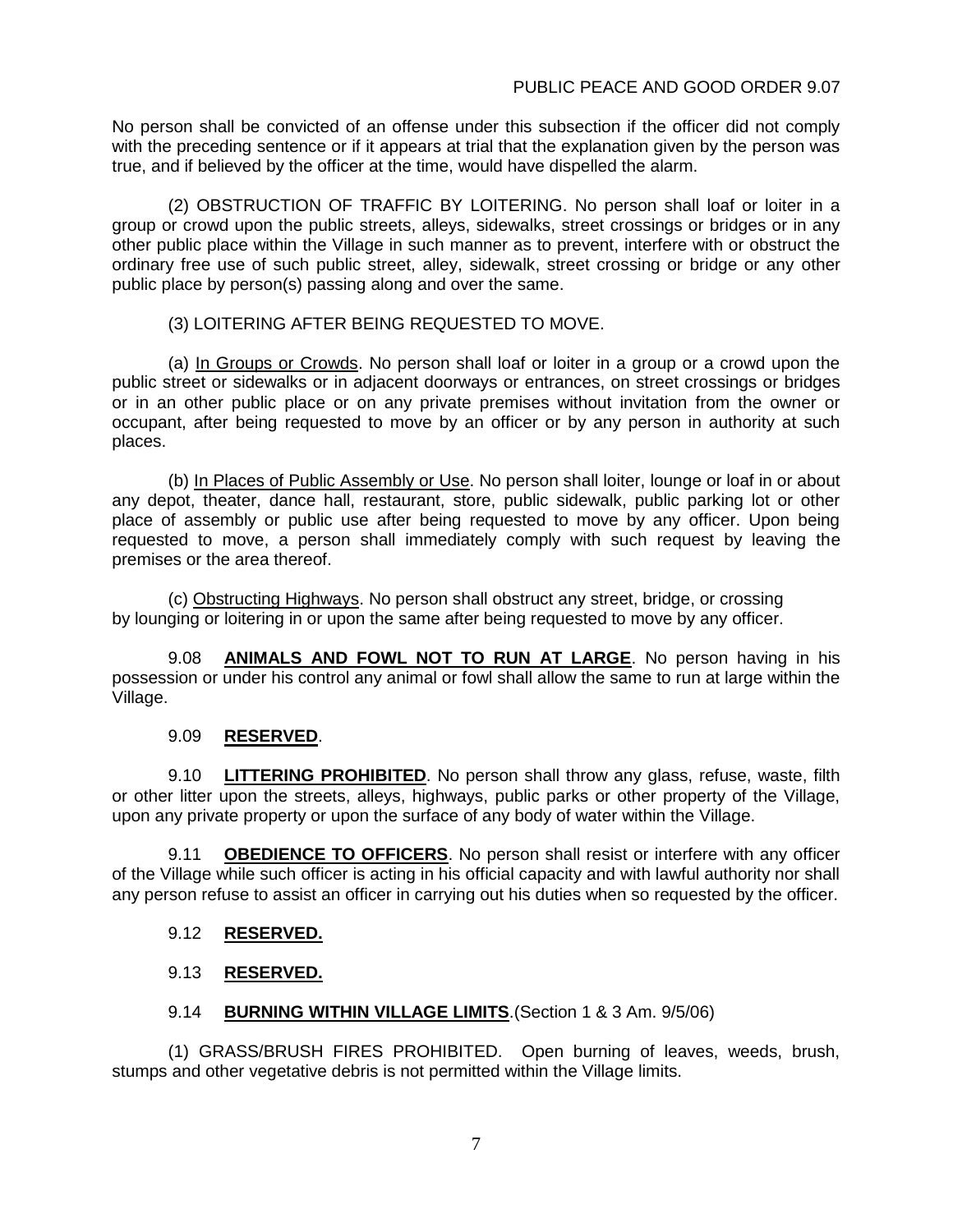No person shall be convicted of an offense under this subsection if the officer did not comply with the preceding sentence or if it appears at trial that the explanation given by the person was true, and if believed by the officer at the time, would have dispelled the alarm.

(2) OBSTRUCTION OF TRAFFIC BY LOITERING. No person shall loaf or loiter in a group or crowd upon the public streets, alleys, sidewalks, street crossings or bridges or in any other public place within the Village in such manner as to prevent, interfere with or obstruct the ordinary free use of such public street, alley, sidewalk, street crossing or bridge or any other public place by person(s) passing along and over the same.

### (3) LOITERING AFTER BEING REQUESTED TO MOVE.

(a) In Groups or Crowds. No person shall loaf or loiter in a group or a crowd upon the public street or sidewalks or in adjacent doorways or entrances, on street crossings or bridges or in an other public place or on any private premises without invitation from the owner or occupant, after being requested to move by an officer or by any person in authority at such places.

(b) In Places of Public Assembly or Use. No person shall loiter, lounge or loaf in or about any depot, theater, dance hall, restaurant, store, public sidewalk, public parking lot or other place of assembly or public use after being requested to move by any officer. Upon being requested to move, a person shall immediately comply with such request by leaving the premises or the area thereof.

(c) Obstructing Highways. No person shall obstruct any street, bridge, or crossing by lounging or loitering in or upon the same after being requested to move by any officer.

9.08 **ANIMALS AND FOWL NOT TO RUN AT LARGE**. No person having in his possession or under his control any animal or fowl shall allow the same to run at large within the Village.

# 9.09 **RESERVED**.

9.10 **LITTERING PROHIBITED**. No person shall throw any glass, refuse, waste, filth or other litter upon the streets, alleys, highways, public parks or other property of the Village, upon any private property or upon the surface of any body of water within the Village.

9.11 **OBEDIENCE TO OFFICERS**. No person shall resist or interfere with any officer of the Village while such officer is acting in his official capacity and with lawful authority nor shall any person refuse to assist an officer in carrying out his duties when so requested by the officer.

# 9.12 **RESERVED.**

# 9.13 **RESERVED.**

# 9.14 **BURNING WITHIN VILLAGE LIMITS**.(Section 1 & 3 Am. 9/5/06)

(1) GRASS/BRUSH FIRES PROHIBITED. Open burning of leaves, weeds, brush, stumps and other vegetative debris is not permitted within the Village limits.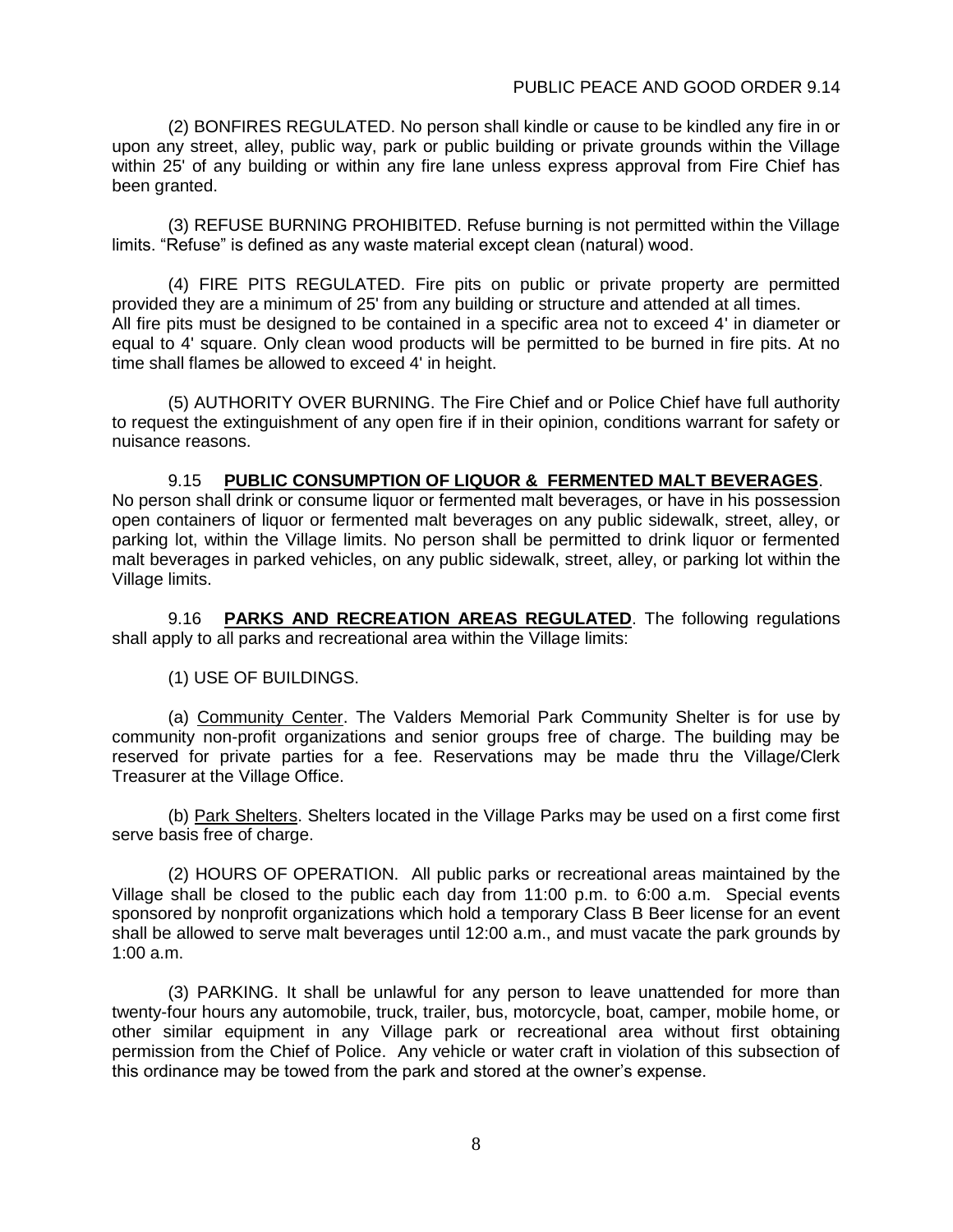(2) BONFIRES REGULATED. No person shall kindle or cause to be kindled any fire in or upon any street, alley, public way, park or public building or private grounds within the Village within 25' of any building or within any fire lane unless express approval from Fire Chief has been granted.

(3) REFUSE BURNING PROHIBITED. Refuse burning is not permitted within the Village limits. "Refuse" is defined as any waste material except clean (natural) wood.

(4) FIRE PITS REGULATED. Fire pits on public or private property are permitted provided they are a minimum of 25' from any building or structure and attended at all times. All fire pits must be designed to be contained in a specific area not to exceed 4' in diameter or equal to 4' square. Only clean wood products will be permitted to be burned in fire pits. At no time shall flames be allowed to exceed 4' in height.

(5) AUTHORITY OVER BURNING. The Fire Chief and or Police Chief have full authority to request the extinguishment of any open fire if in their opinion, conditions warrant for safety or nuisance reasons.

9.15 **PUBLIC CONSUMPTION OF LIQUOR & FERMENTED MALT BEVERAGES**. No person shall drink or consume liquor or fermented malt beverages, or have in his possession open containers of liquor or fermented malt beverages on any public sidewalk, street, alley, or parking lot, within the Village limits. No person shall be permitted to drink liquor or fermented malt beverages in parked vehicles, on any public sidewalk, street, alley, or parking lot within the Village limits.

9.16 **PARKS AND RECREATION AREAS REGULATED**. The following regulations shall apply to all parks and recreational area within the Village limits:

(1) USE OF BUILDINGS.

(a) Community Center. The Valders Memorial Park Community Shelter is for use by community non-profit organizations and senior groups free of charge. The building may be reserved for private parties for a fee. Reservations may be made thru the Village/Clerk Treasurer at the Village Office.

(b) Park Shelters. Shelters located in the Village Parks may be used on a first come first serve basis free of charge.

(2) HOURS OF OPERATION. All public parks or recreational areas maintained by the Village shall be closed to the public each day from 11:00 p.m. to 6:00 a.m. Special events sponsored by nonprofit organizations which hold a temporary Class B Beer license for an event shall be allowed to serve malt beverages until 12:00 a.m., and must vacate the park grounds by 1:00 a.m.

(3) PARKING. It shall be unlawful for any person to leave unattended for more than twenty-four hours any automobile, truck, trailer, bus, motorcycle, boat, camper, mobile home, or other similar equipment in any Village park or recreational area without first obtaining permission from the Chief of Police. Any vehicle or water craft in violation of this subsection of this ordinance may be towed from the park and stored at the owner's expense.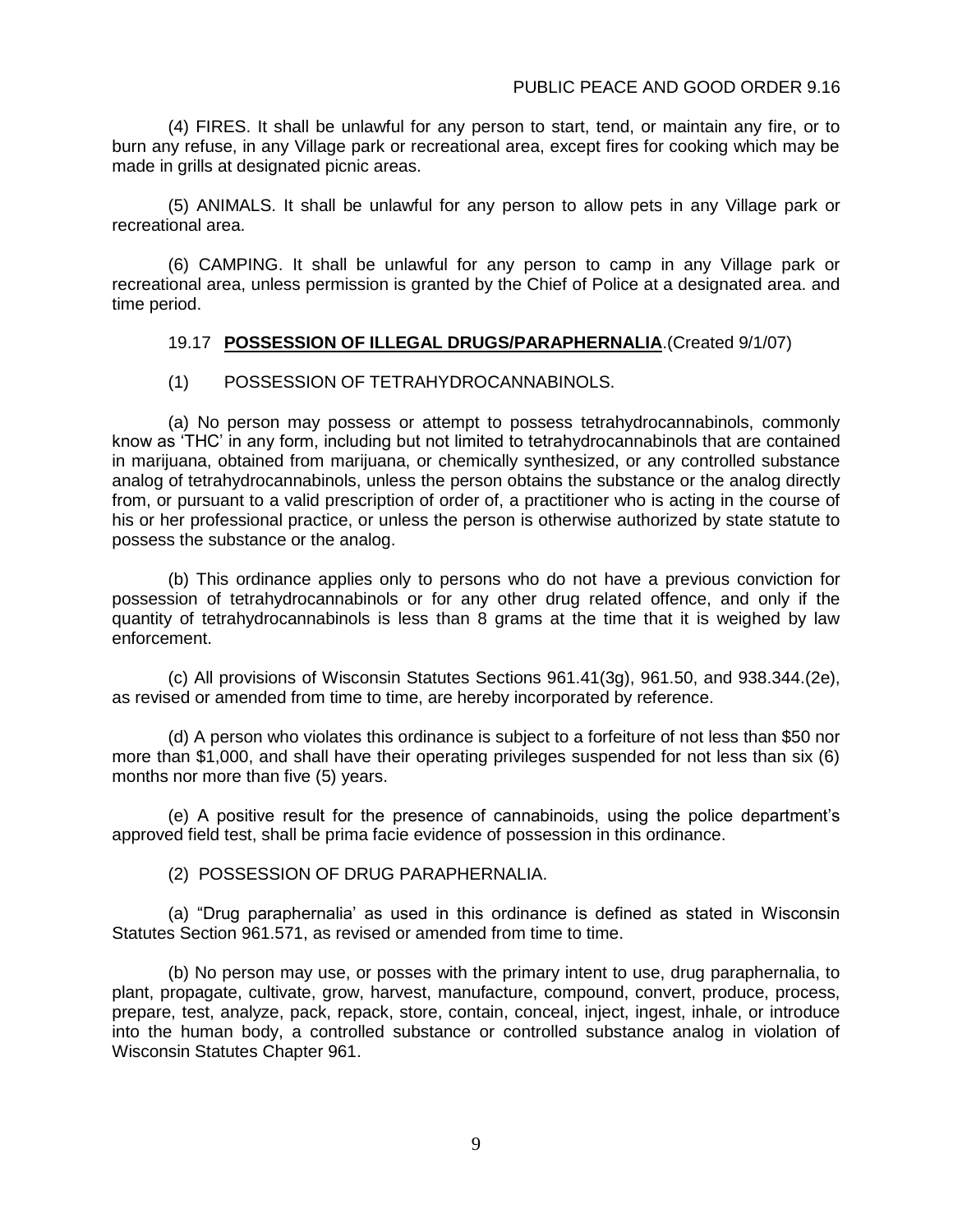(4) FIRES. It shall be unlawful for any person to start, tend, or maintain any fire, or to burn any refuse, in any Village park or recreational area, except fires for cooking which may be made in grills at designated picnic areas.

(5) ANIMALS. It shall be unlawful for any person to allow pets in any Village park or recreational area.

(6) CAMPING. It shall be unlawful for any person to camp in any Village park or recreational area, unless permission is granted by the Chief of Police at a designated area. and time period.

#### 19.17 **POSSESSION OF ILLEGAL DRUGS/PARAPHERNALIA**.(Created 9/1/07)

#### (1) POSSESSION OF TETRAHYDROCANNABINOLS.

(a) No person may possess or attempt to possess tetrahydrocannabinols, commonly know as 'THC' in any form, including but not limited to tetrahydrocannabinols that are contained in marijuana, obtained from marijuana, or chemically synthesized, or any controlled substance analog of tetrahydrocannabinols, unless the person obtains the substance or the analog directly from, or pursuant to a valid prescription of order of, a practitioner who is acting in the course of his or her professional practice, or unless the person is otherwise authorized by state statute to possess the substance or the analog.

(b) This ordinance applies only to persons who do not have a previous conviction for possession of tetrahydrocannabinols or for any other drug related offence, and only if the quantity of tetrahydrocannabinols is less than 8 grams at the time that it is weighed by law enforcement.

(c) All provisions of Wisconsin Statutes Sections 961.41(3g), 961.50, and 938.344.(2e), as revised or amended from time to time, are hereby incorporated by reference.

(d) A person who violates this ordinance is subject to a forfeiture of not less than \$50 nor more than \$1,000, and shall have their operating privileges suspended for not less than six (6) months nor more than five (5) years.

(e) A positive result for the presence of cannabinoids, using the police department's approved field test, shall be prima facie evidence of possession in this ordinance.

(2) POSSESSION OF DRUG PARAPHERNALIA.

(a) "Drug paraphernalia' as used in this ordinance is defined as stated in Wisconsin Statutes Section 961.571, as revised or amended from time to time.

(b) No person may use, or posses with the primary intent to use, drug paraphernalia, to plant, propagate, cultivate, grow, harvest, manufacture, compound, convert, produce, process, prepare, test, analyze, pack, repack, store, contain, conceal, inject, ingest, inhale, or introduce into the human body, a controlled substance or controlled substance analog in violation of Wisconsin Statutes Chapter 961.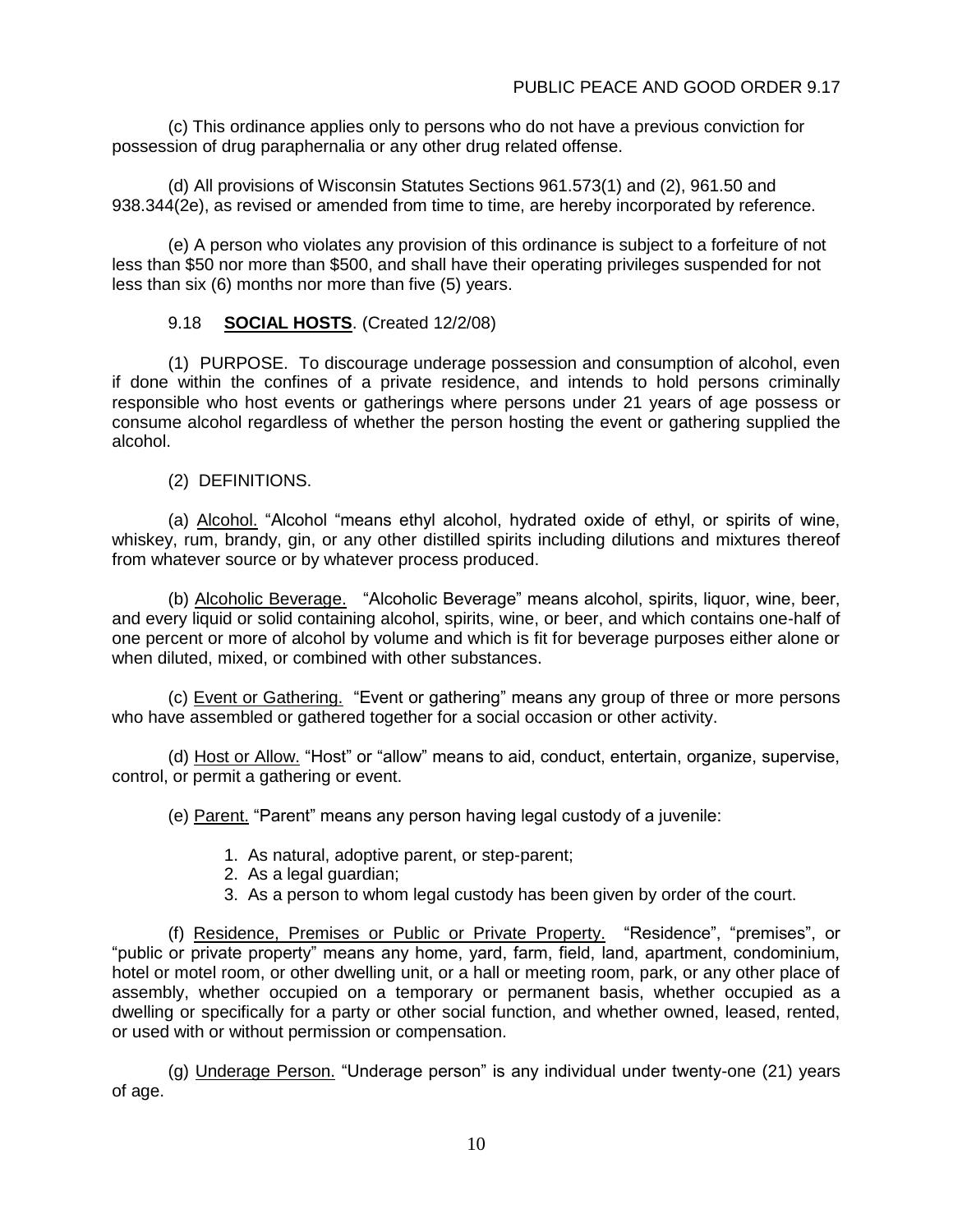(c) This ordinance applies only to persons who do not have a previous conviction for possession of drug paraphernalia or any other drug related offense.

(d) All provisions of Wisconsin Statutes Sections 961.573(1) and (2), 961.50 and 938.344(2e), as revised or amended from time to time, are hereby incorporated by reference.

(e) A person who violates any provision of this ordinance is subject to a forfeiture of not less than \$50 nor more than \$500, and shall have their operating privileges suspended for not less than six (6) months nor more than five (5) years.

### 9.18 **SOCIAL HOSTS**. (Created 12/2/08)

(1) PURPOSE. To discourage underage possession and consumption of alcohol, even if done within the confines of a private residence, and intends to hold persons criminally responsible who host events or gatherings where persons under 21 years of age possess or consume alcohol regardless of whether the person hosting the event or gathering supplied the alcohol.

(2) DEFINITIONS.

(a) Alcohol. "Alcohol "means ethyl alcohol, hydrated oxide of ethyl, or spirits of wine, whiskey, rum, brandy, gin, or any other distilled spirits including dilutions and mixtures thereof from whatever source or by whatever process produced.

(b) Alcoholic Beverage. "Alcoholic Beverage" means alcohol, spirits, liquor, wine, beer, and every liquid or solid containing alcohol, spirits, wine, or beer, and which contains one-half of one percent or more of alcohol by volume and which is fit for beverage purposes either alone or when diluted, mixed, or combined with other substances.

(c) Event or Gathering. "Event or gathering" means any group of three or more persons who have assembled or gathered together for a social occasion or other activity.

(d) Host or Allow. "Host" or "allow" means to aid, conduct, entertain, organize, supervise, control, or permit a gathering or event.

(e) Parent. "Parent" means any person having legal custody of a juvenile:

- 1. As natural, adoptive parent, or step-parent;
- 2. As a legal guardian;
- 3. As a person to whom legal custody has been given by order of the court.

(f) Residence, Premises or Public or Private Property. "Residence", "premises", or "public or private property" means any home, yard, farm, field, land, apartment, condominium, hotel or motel room, or other dwelling unit, or a hall or meeting room, park, or any other place of assembly, whether occupied on a temporary or permanent basis, whether occupied as a dwelling or specifically for a party or other social function, and whether owned, leased, rented, or used with or without permission or compensation.

(g) Underage Person. "Underage person" is any individual under twenty-one (21) years of age.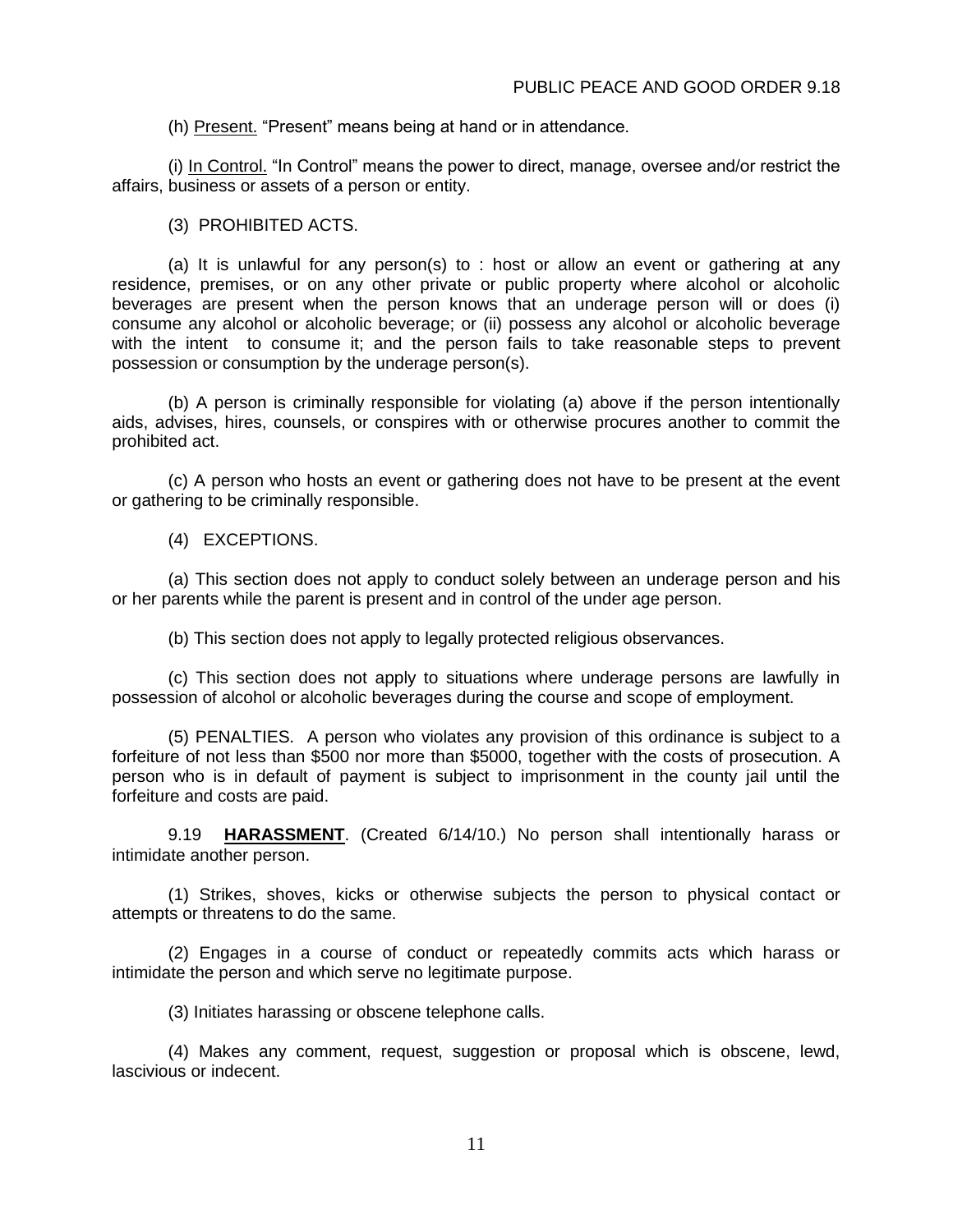(h) Present. "Present" means being at hand or in attendance.

(i) In Control. "In Control" means the power to direct, manage, oversee and/or restrict the affairs, business or assets of a person or entity.

(3) PROHIBITED ACTS.

(a) It is unlawful for any person(s) to : host or allow an event or gathering at any residence, premises, or on any other private or public property where alcohol or alcoholic beverages are present when the person knows that an underage person will or does (i) consume any alcohol or alcoholic beverage; or (ii) possess any alcohol or alcoholic beverage with the intent to consume it; and the person fails to take reasonable steps to prevent possession or consumption by the underage person(s).

(b) A person is criminally responsible for violating (a) above if the person intentionally aids, advises, hires, counsels, or conspires with or otherwise procures another to commit the prohibited act.

(c) A person who hosts an event or gathering does not have to be present at the event or gathering to be criminally responsible.

(4) EXCEPTIONS.

(a) This section does not apply to conduct solely between an underage person and his or her parents while the parent is present and in control of the under age person.

(b) This section does not apply to legally protected religious observances.

(c) This section does not apply to situations where underage persons are lawfully in possession of alcohol or alcoholic beverages during the course and scope of employment.

(5) PENALTIES. A person who violates any provision of this ordinance is subject to a forfeiture of not less than \$500 nor more than \$5000, together with the costs of prosecution. A person who is in default of payment is subject to imprisonment in the county jail until the forfeiture and costs are paid.

9.19 **HARASSMENT**. (Created 6/14/10.) No person shall intentionally harass or intimidate another person.

(1) Strikes, shoves, kicks or otherwise subjects the person to physical contact or attempts or threatens to do the same.

(2) Engages in a course of conduct or repeatedly commits acts which harass or intimidate the person and which serve no legitimate purpose.

(3) Initiates harassing or obscene telephone calls.

(4) Makes any comment, request, suggestion or proposal which is obscene, lewd, lascivious or indecent.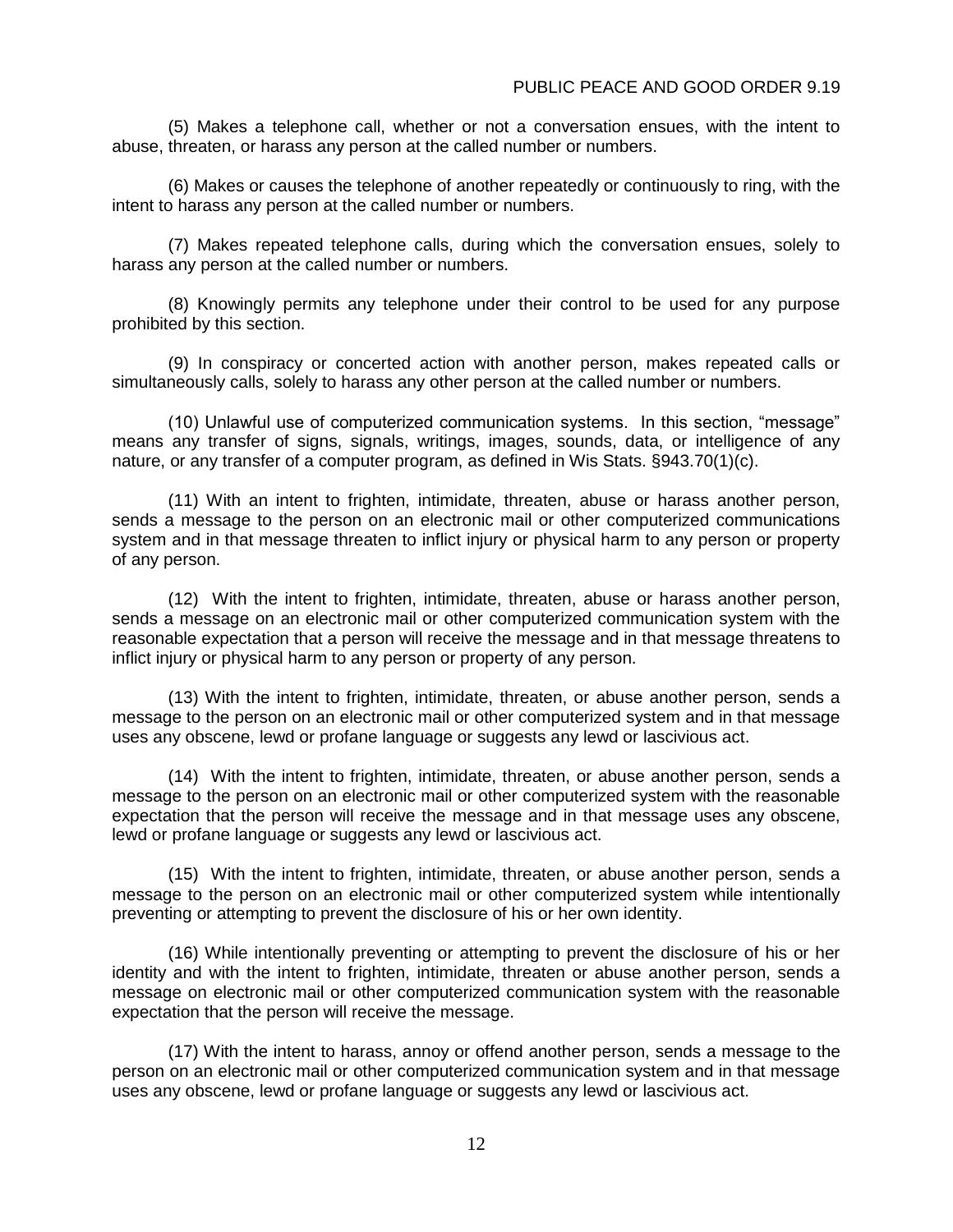(5) Makes a telephone call, whether or not a conversation ensues, with the intent to abuse, threaten, or harass any person at the called number or numbers.

(6) Makes or causes the telephone of another repeatedly or continuously to ring, with the intent to harass any person at the called number or numbers.

(7) Makes repeated telephone calls, during which the conversation ensues, solely to harass any person at the called number or numbers.

(8) Knowingly permits any telephone under their control to be used for any purpose prohibited by this section.

(9) In conspiracy or concerted action with another person, makes repeated calls or simultaneously calls, solely to harass any other person at the called number or numbers.

(10) Unlawful use of computerized communication systems. In this section, "message" means any transfer of signs, signals, writings, images, sounds, data, or intelligence of any nature, or any transfer of a computer program, as defined in Wis Stats. §943.70(1)(c).

(11) With an intent to frighten, intimidate, threaten, abuse or harass another person, sends a message to the person on an electronic mail or other computerized communications system and in that message threaten to inflict injury or physical harm to any person or property of any person.

(12) With the intent to frighten, intimidate, threaten, abuse or harass another person, sends a message on an electronic mail or other computerized communication system with the reasonable expectation that a person will receive the message and in that message threatens to inflict injury or physical harm to any person or property of any person.

(13) With the intent to frighten, intimidate, threaten, or abuse another person, sends a message to the person on an electronic mail or other computerized system and in that message uses any obscene, lewd or profane language or suggests any lewd or lascivious act.

(14) With the intent to frighten, intimidate, threaten, or abuse another person, sends a message to the person on an electronic mail or other computerized system with the reasonable expectation that the person will receive the message and in that message uses any obscene, lewd or profane language or suggests any lewd or lascivious act.

(15) With the intent to frighten, intimidate, threaten, or abuse another person, sends a message to the person on an electronic mail or other computerized system while intentionally preventing or attempting to prevent the disclosure of his or her own identity.

(16) While intentionally preventing or attempting to prevent the disclosure of his or her identity and with the intent to frighten, intimidate, threaten or abuse another person, sends a message on electronic mail or other computerized communication system with the reasonable expectation that the person will receive the message.

(17) With the intent to harass, annoy or offend another person, sends a message to the person on an electronic mail or other computerized communication system and in that message uses any obscene, lewd or profane language or suggests any lewd or lascivious act.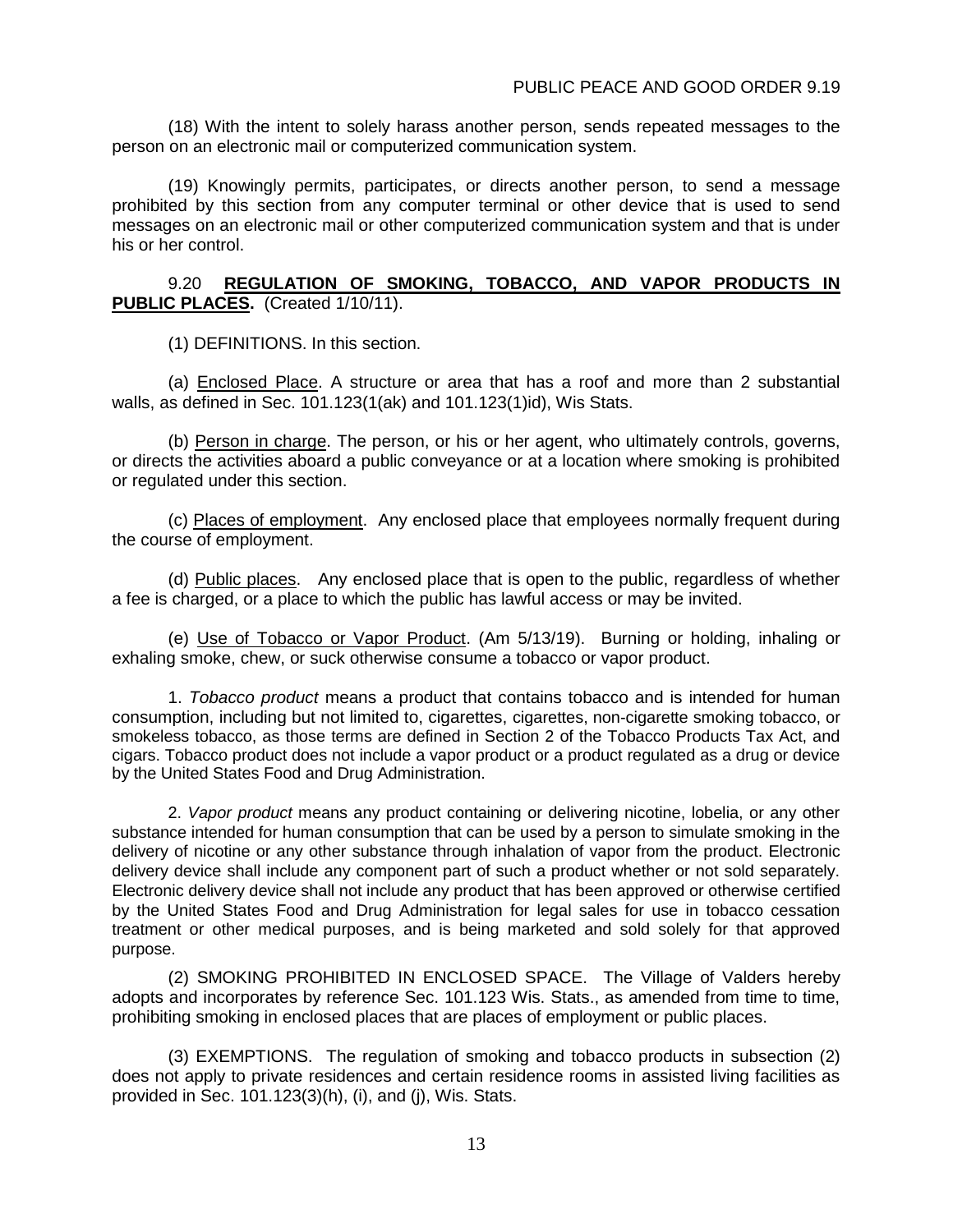(18) With the intent to solely harass another person, sends repeated messages to the person on an electronic mail or computerized communication system.

(19) Knowingly permits, participates, or directs another person, to send a message prohibited by this section from any computer terminal or other device that is used to send messages on an electronic mail or other computerized communication system and that is under his or her control.

#### 9.20 **REGULATION OF SMOKING, TOBACCO, AND VAPOR PRODUCTS IN PUBLIC PLACES.** (Created 1/10/11).

(1) DEFINITIONS. In this section.

(a) Enclosed Place. A structure or area that has a roof and more than 2 substantial walls, as defined in Sec. 101.123(1(ak) and 101.123(1)id), Wis Stats.

(b) Person in charge. The person, or his or her agent, who ultimately controls, governs, or directs the activities aboard a public conveyance or at a location where smoking is prohibited or regulated under this section.

(c) Places of employment. Any enclosed place that employees normally frequent during the course of employment.

(d) Public places. Any enclosed place that is open to the public, regardless of whether a fee is charged, or a place to which the public has lawful access or may be invited.

(e) Use of Tobacco or Vapor Product. (Am 5/13/19). Burning or holding, inhaling or exhaling smoke, chew, or suck otherwise consume a tobacco or vapor product.

1. *Tobacco product* means a product that contains tobacco and is intended for human consumption, including but not limited to, cigarettes, cigarettes, non-cigarette smoking tobacco, or smokeless tobacco, as those terms are defined in Section 2 of the Tobacco Products Tax Act, and cigars. Tobacco product does not include a vapor product or a product regulated as a drug or device by the United States Food and Drug Administration.

2. *Vapor product* means any product containing or delivering nicotine, lobelia, or any other substance intended for human consumption that can be used by a person to simulate smoking in the delivery of nicotine or any other substance through inhalation of vapor from the product. Electronic delivery device shall include any component part of such a product whether or not sold separately. Electronic delivery device shall not include any product that has been approved or otherwise certified by the United States Food and Drug Administration for legal sales for use in tobacco cessation treatment or other medical purposes, and is being marketed and sold solely for that approved purpose.

(2) SMOKING PROHIBITED IN ENCLOSED SPACE. The Village of Valders hereby adopts and incorporates by reference Sec. 101.123 Wis. Stats., as amended from time to time, prohibiting smoking in enclosed places that are places of employment or public places.

(3) EXEMPTIONS. The regulation of smoking and tobacco products in subsection (2) does not apply to private residences and certain residence rooms in assisted living facilities as provided in Sec. 101.123(3)(h), (i), and (j), Wis. Stats.